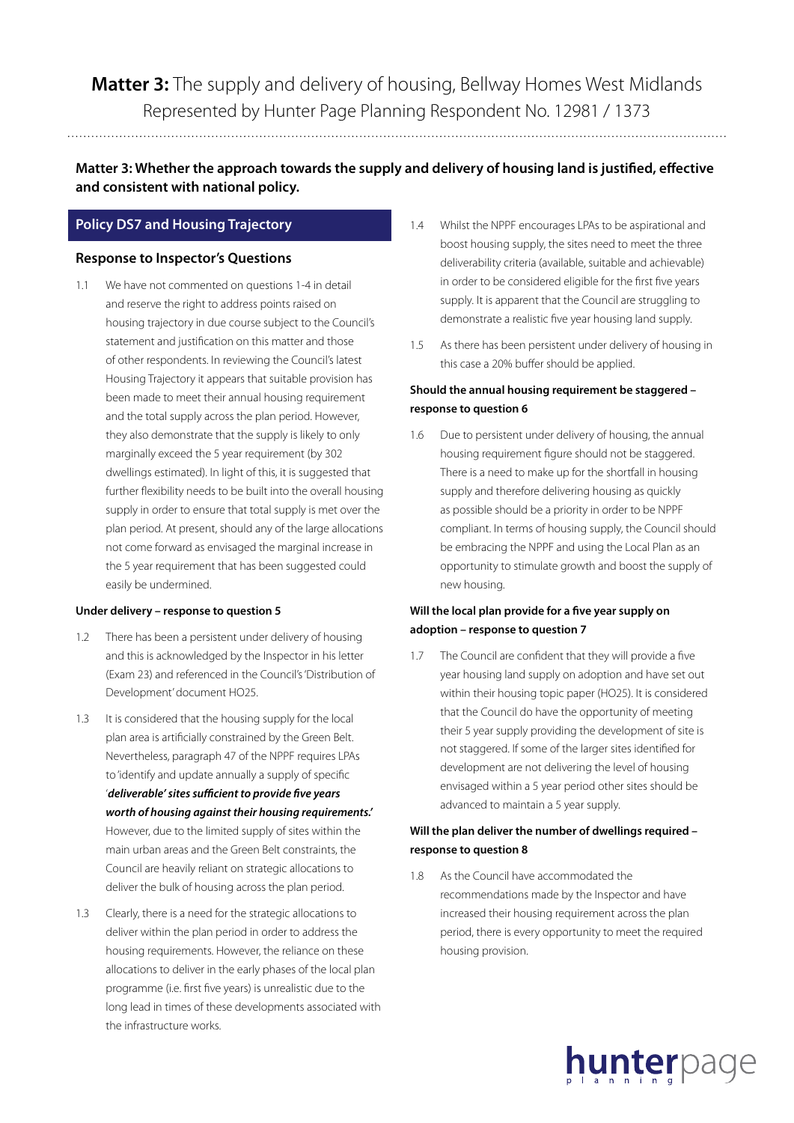**Matter 3:** The supply and delivery of housing, Bellway Homes West Midlands Represented by Hunter Page Planning Respondent No. 12981 / 1373

**Matter 3: Whether the approach towards the supply and delivery of housing land is justified, effective and consistent with national policy.**

# **Policy DS7 and Housing Trajectory**

#### **Response to Inspector's Questions**

1.1 We have not commented on questions 1-4 in detail and reserve the right to address points raised on housing trajectory in due course subject to the Council's statement and justification on this matter and those of other respondents. In reviewing the Council's latest Housing Trajectory it appears that suitable provision has been made to meet their annual housing requirement and the total supply across the plan period. However, they also demonstrate that the supply is likely to only marginally exceed the 5 year requirement (by 302 dwellings estimated). In light of this, it is suggested that further flexibility needs to be built into the overall housing supply in order to ensure that total supply is met over the plan period. At present, should any of the large allocations not come forward as envisaged the marginal increase in the 5 year requirement that has been suggested could easily be undermined.

#### **Under delivery – response to question 5**

- 1.2 There has been a persistent under delivery of housing and this is acknowledged by the Inspector in his letter (Exam 23) and referenced in the Council's 'Distribution of Development' document HO25.
- 1.3 It is considered that the housing supply for the local plan area is artificially constrained by the Green Belt. Nevertheless, paragraph 47 of the NPPF requires LPAs to 'identify and update annually a supply of specific '*deliverable' sites sufficient to provide five years worth of housing against their housing requirements.'*  However, due to the limited supply of sites within the main urban areas and the Green Belt constraints, the Council are heavily reliant on strategic allocations to deliver the bulk of housing across the plan period.
- 1.3 Clearly, there is a need for the strategic allocations to deliver within the plan period in order to address the housing requirements. However, the reliance on these allocations to deliver in the early phases of the local plan programme (i.e. first five years) is unrealistic due to the long lead in times of these developments associated with the infrastructure works.
- 1.4 Whilst the NPPF encourages LPAs to be aspirational and boost housing supply, the sites need to meet the three deliverability criteria (available, suitable and achievable) in order to be considered eligible for the first five years supply. It is apparent that the Council are struggling to demonstrate a realistic five year housing land supply.
- 1.5 As there has been persistent under delivery of housing in this case a 20% buffer should be applied.

## **Should the annual housing requirement be staggered – response to question 6**

1.6 Due to persistent under delivery of housing, the annual housing requirement figure should not be staggered. There is a need to make up for the shortfall in housing supply and therefore delivering housing as quickly as possible should be a priority in order to be NPPF compliant. In terms of housing supply, the Council should be embracing the NPPF and using the Local Plan as an opportunity to stimulate growth and boost the supply of new housing.

# **Will the local plan provide for a five year supply on adoption – response to question 7**

1.7 The Council are confident that they will provide a five year housing land supply on adoption and have set out within their housing topic paper (HO25). It is considered that the Council do have the opportunity of meeting their 5 year supply providing the development of site is not staggered. If some of the larger sites identified for development are not delivering the level of housing envisaged within a 5 year period other sites should be advanced to maintain a 5 year supply.

### **Will the plan deliver the number of dwellings required – response to question 8**

1.8 As the Council have accommodated the recommendations made by the Inspector and have increased their housing requirement across the plan period, there is every opportunity to meet the required housing provision.

hunterpage